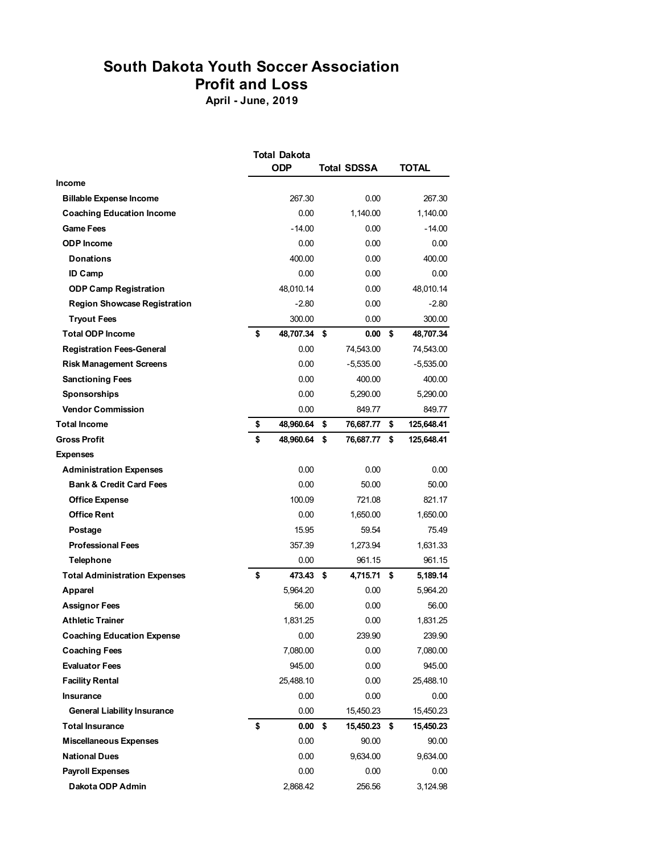## **South Dakota Youth Soccer Association Profit and Loss**

**April - June, 2019**

|                                      | <b>Total Dakota</b> |            |                    |             |    |              |  |
|--------------------------------------|---------------------|------------|--------------------|-------------|----|--------------|--|
|                                      |                     | <b>ODP</b> | <b>Total SDSSA</b> |             |    | <b>TOTAL</b> |  |
| <b>Income</b>                        |                     |            |                    |             |    |              |  |
| <b>Billable Expense Income</b>       |                     | 267.30     |                    | 0.00        |    | 267.30       |  |
| <b>Coaching Education Income</b>     |                     | 0.00       |                    | 1,140.00    |    | 1,140.00     |  |
| <b>Game Fees</b>                     |                     | $-14.00$   |                    | 0.00        |    | $-14.00$     |  |
| <b>ODP</b> Income                    |                     | 0.00       |                    | 0.00        |    | 0.00         |  |
| <b>Donations</b>                     |                     | 400.00     |                    | 0.00        |    | 400.00       |  |
| <b>ID Camp</b>                       |                     | 0.00       |                    | 0.00        |    | 0.00         |  |
| <b>ODP Camp Registration</b>         |                     | 48,010.14  |                    | 0.00        |    | 48,010.14    |  |
| <b>Region Showcase Registration</b>  |                     | $-2.80$    |                    | 0.00        |    | $-2.80$      |  |
| <b>Tryout Fees</b>                   |                     | 300.00     |                    | 0.00        |    | 300.00       |  |
| <b>Total ODP Income</b>              | \$                  | 48,707.34  | \$                 | 0.00        | \$ | 48,707.34    |  |
| <b>Registration Fees-General</b>     |                     | 0.00       |                    | 74,543.00   |    | 74,543.00    |  |
| <b>Risk Management Screens</b>       |                     | 0.00       |                    | $-5,535.00$ |    | $-5,535.00$  |  |
| <b>Sanctioning Fees</b>              |                     | 0.00       |                    | 400.00      |    | 400.00       |  |
| Sponsorships                         |                     | 0.00       |                    | 5,290.00    |    | 5,290.00     |  |
| <b>Vendor Commission</b>             |                     | 0.00       |                    | 849.77      |    | 849.77       |  |
| <b>Total Income</b>                  | \$                  | 48,960.64  | \$                 | 76,687.77   | \$ | 125,648.41   |  |
| <b>Gross Profit</b>                  | \$                  | 48,960.64  | \$                 | 76,687.77   | \$ | 125,648.41   |  |
| <b>Expenses</b>                      |                     |            |                    |             |    |              |  |
| <b>Administration Expenses</b>       |                     | 0.00       |                    | 0.00        |    | 0.00         |  |
| <b>Bank &amp; Credit Card Fees</b>   |                     | 0.00       |                    | 50.00       |    | 50.00        |  |
| <b>Office Expense</b>                |                     | 100.09     |                    | 721.08      |    | 821.17       |  |
| <b>Office Rent</b>                   |                     | 0.00       |                    | 1,650.00    |    | 1,650.00     |  |
| Postage                              |                     | 15.95      |                    | 59.54       |    | 75.49        |  |
| <b>Professional Fees</b>             |                     | 357.39     |                    | 1,273.94    |    | 1,631.33     |  |
| <b>Telephone</b>                     |                     | 0.00       |                    | 961.15      |    | 961.15       |  |
| <b>Total Administration Expenses</b> | \$                  | 473.43     | \$                 | 4,715.71    | \$ | 5,189.14     |  |
| <b>Apparel</b>                       |                     | 5,964.20   |                    | 0.00        |    | 5,964.20     |  |
| <b>Assignor Fees</b>                 |                     | 56.00      |                    | 0.00        |    | 56.00        |  |
| <b>Athletic Trainer</b>              |                     | 1,831.25   |                    | 0.00        |    | 1,831.25     |  |
| <b>Coaching Education Expense</b>    |                     | 0.00       |                    | 239.90      |    | 239.90       |  |
| <b>Coaching Fees</b>                 |                     | 7,080.00   |                    | 0.00        |    | 7,080.00     |  |
| <b>Evaluator Fees</b>                |                     | 945.00     |                    | 0.00        |    | 945.00       |  |
| <b>Facility Rental</b>               |                     | 25,488.10  |                    | 0.00        |    | 25,488.10    |  |
| Insurance                            |                     | 0.00       |                    | 0.00        |    | 0.00         |  |
| <b>General Liability Insurance</b>   |                     | 0.00       |                    | 15,450.23   |    | 15,450.23    |  |
| <b>Total Insurance</b>               | \$                  | 0.00       | \$                 | 15,450.23   | \$ | 15,450.23    |  |
| <b>Miscellaneous Expenses</b>        |                     | 0.00       |                    | 90.00       |    | 90.00        |  |
| <b>National Dues</b>                 |                     | 0.00       |                    | 9,634.00    |    | 9,634.00     |  |
| <b>Payroll Expenses</b>              |                     | 0.00       |                    | 0.00        |    | 0.00         |  |
| Dakota ODP Admin                     |                     | 2,868.42   |                    | 256.56      |    | 3,124.98     |  |